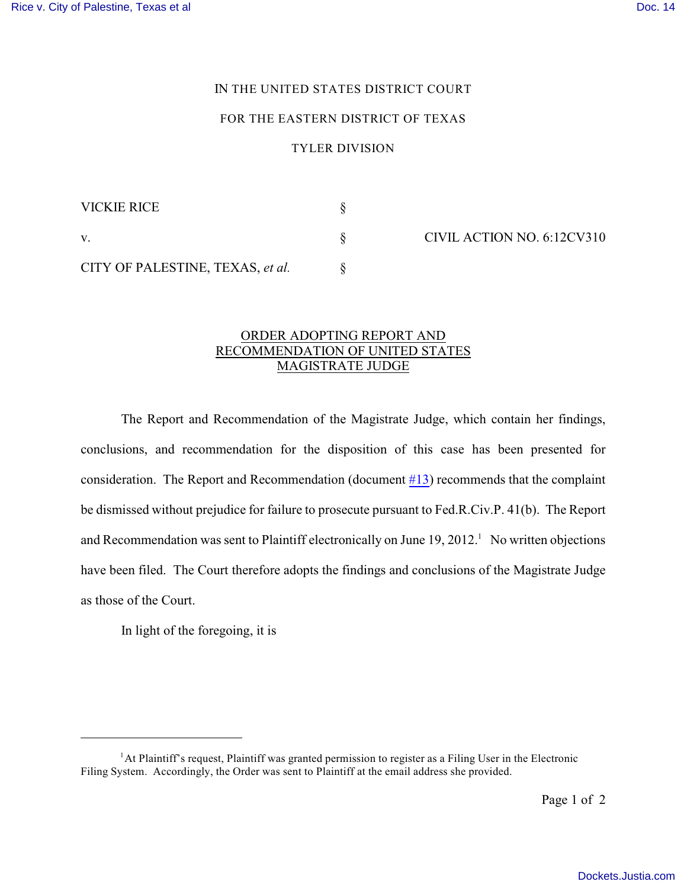## IN THE UNITED STATES DISTRICT COURT

## FOR THE EASTERN DISTRICT OF TEXAS

## TYLER DIVISION

| VICKIE RICE                      |  |
|----------------------------------|--|
|                                  |  |
| CITY OF PALESTINE, TEXAS, et al. |  |

CIVIL ACTION NO. 6:12CV310

## ORDER ADOPTING REPORT AND RECOMMENDATION OF UNITED STATES MAGISTRATE JUDGE

The Report and Recommendation of the Magistrate Judge, which contain her findings, conclusions, and recommendation for the disposition of this case has been presented for consideration. The Report and Recommendation (document #13) recommends that the complaint be dismissed without prejudice for failure to prosecute pursuant to Fed.R.Civ.P. 41(b). The Report and Recommendation was sent to Plaintiff electronically on June  $19, 2012$ .<sup>1</sup> No written objections have been filed. The Court therefore adopts the findings and conclusions of the Magistrate Judge as those of the Court.

In light of the foregoing, it is

 ${}^{1}$ At Plaintiff's request, Plaintiff was granted permission to register as a Filing User in the Electronic Filing System. Accordingly, the Order was sent to Plaintiff at the email address she provided.

Page 1 of 2